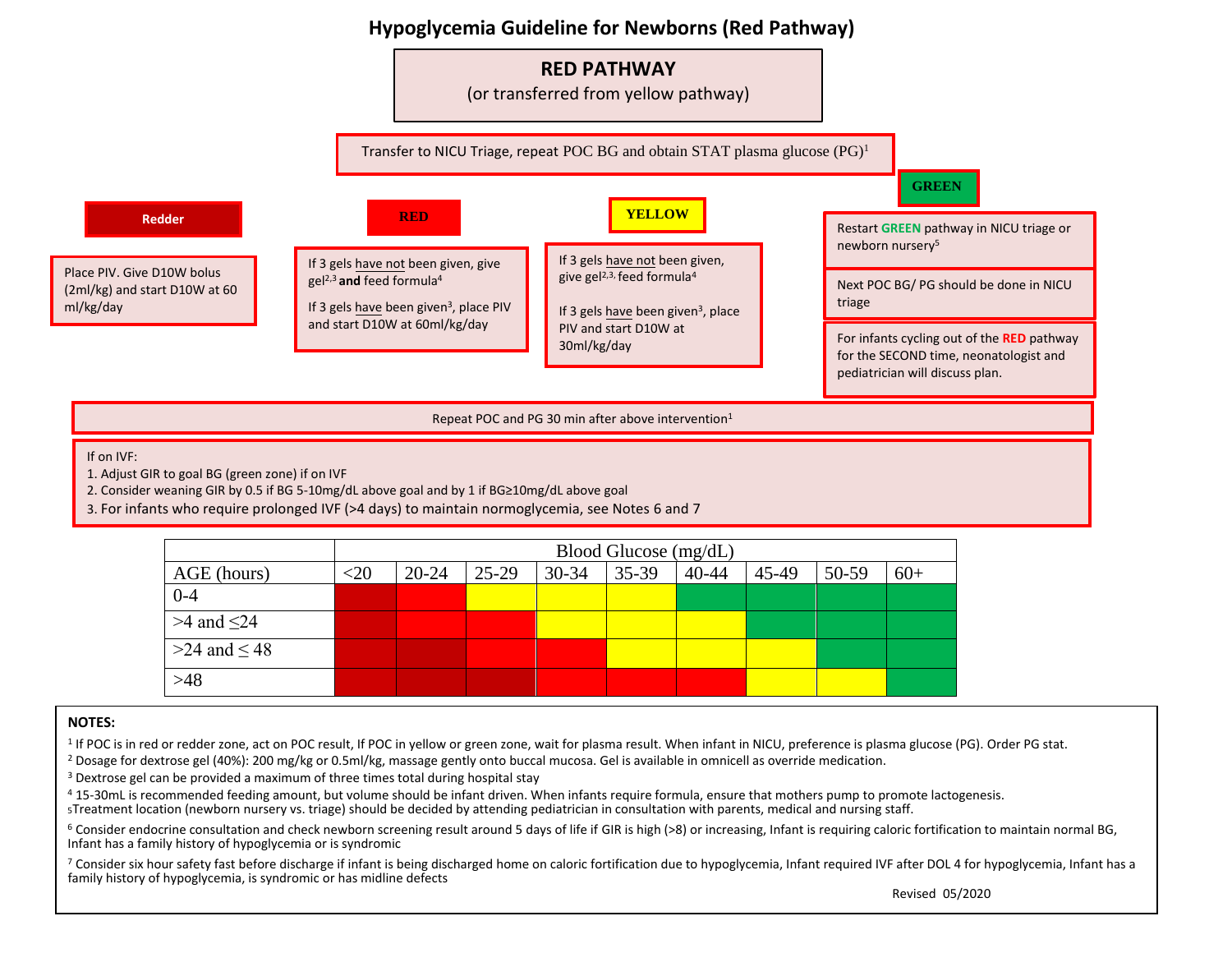



Repeat POC and PG 30 min after above intervention<sup>1</sup>

If on IVF:

1. Adjust GIR to goal BG (green zone) if on IVF

2. Consider weaning GIR by 0.5 if BG 5-10mg/dL above goal and by 1 if BG≥10mg/dL above goal

3. For infants who require prolonged IVF (>4 days) to maintain normoglycemia, see Notes 6 and 7

|                     | Blood Glucose (mg/dL) |           |       |           |           |           |       |       |       |
|---------------------|-----------------------|-----------|-------|-----------|-----------|-----------|-------|-------|-------|
| AGE (hours)         | $<$ 20                | $20 - 24$ | 25-29 | $30 - 34$ | $35 - 39$ | $40 - 44$ | 45-49 | 50-59 | $60+$ |
| $0 - 4$             |                       |           |       |           |           |           |       |       |       |
| $>4$ and $\leq$ 24  |                       |           |       |           |           |           |       |       |       |
| $>24$ and $\leq 48$ |                       |           |       |           |           |           |       |       |       |
| $>48$               |                       |           |       |           |           |           |       |       |       |

## **NOTES:**

<sup>1</sup> If POC is in red or redder zone, act on POC result, If POC in yellow or green zone, wait for plasma result. When infant in NICU, preference is plasma glucose (PG). Order PG stat.

<sup>2</sup> Dosage for dextrose gel (40%): 200 mg/kg or 0.5ml/kg, massage gently onto buccal mucosa. Gel is available in omnicell as override medication.

<sup>3</sup> Dextrose gel can be provided a maximum of three times total during hospital stay

<sup>4</sup> 15-30mL is recommended feeding amount, but volume should be infant driven. When infants require formula, ensure that mothers pump to promote lactogenesis.

<sup>5</sup>Treatment location (newborn nursery vs. triage) should be decided by attending pediatrician in consultation with parents, medical and nursing staff.

<sup>6</sup> Consider endocrine consultation and check newborn screening result around 5 days of life if GIR is high (>8) or increasing, Infant is requiring caloric fortification to maintain normal BG, Infant has a family history of hypoglycemia or is syndromic

<sup>7</sup> Consider six hour safety fast before discharge if infant is being discharged home on caloric fortification due to hypoglycemia, Infant required IVF after DOL 4 for hypoglycemia, Infant has a family history of hypoglycemia, is syndromic or has midline defects

Revised 05/2020